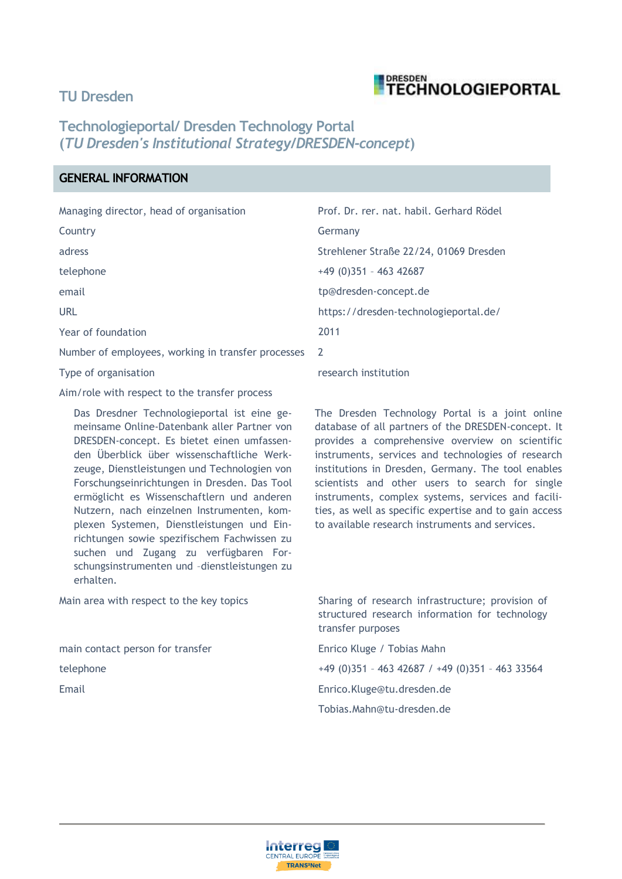## **TU Dresden**



# **Technologieportal/ Dresden Technology Portal (***TU Dresden's Institutional Strategy/DRESDEN-concept***)**

## **GENERAL INFORMATION**

| Managing director, head of organisation            | Prof. Dr. rer. nat. habil. Gerhard Rödel |
|----------------------------------------------------|------------------------------------------|
| Country                                            | Germany                                  |
| adress                                             | Strehlener Straße 22/24, 01069 Dresden   |
| telephone                                          | $+49(0)351 - 46342687$                   |
| email                                              | tp@dresden-concept.de                    |
| <b>URL</b>                                         | https://dresden-technologieportal.de/    |
| Year of foundation                                 | 2011                                     |
| Number of employees, working in transfer processes | <sup>2</sup>                             |
| Type of organisation                               | research institution                     |
|                                                    |                                          |

Aim/role with respect to the transfer process

Das Dresdner Technologieportal ist eine gemeinsame Online-Datenbank aller Partner von DRESDEN-concept. Es bietet einen umfassenden Überblick über wissenschaftliche Werkzeuge, Dienstleistungen und Technologien von Forschungseinrichtungen in Dresden. Das Tool ermöglicht es Wissenschaftlern und anderen Nutzern, nach einzelnen Instrumenten, komplexen Systemen, Dienstleistungen und Einrichtungen sowie spezifischem Fachwissen zu suchen und Zugang zu verfügbaren Forschungsinstrumenten und –dienstleistungen zu erhalten.

Main area with respect to the key topics Sharing of research infrastructure; provision of

main contact person for transfer The Enrico Kluge / Tobias Mahn

The Dresden Technology Portal is a joint online database of all partners of the DRESDEN-concept. It provides a comprehensive overview on scientific instruments, services and technologies of research institutions in Dresden, Germany. The tool enables scientists and other users to search for single instruments, complex systems, services and facilities, as well as specific expertise and to gain access to available research instruments and services.

structured research information for technology transfer purposes

telephone +49 (0)351 – 463 42687 / +49 (0)351 – 463 33564 Email Enrico.Kluge@tu.dresden.de Tobias.Mahn@tu-dresden.de